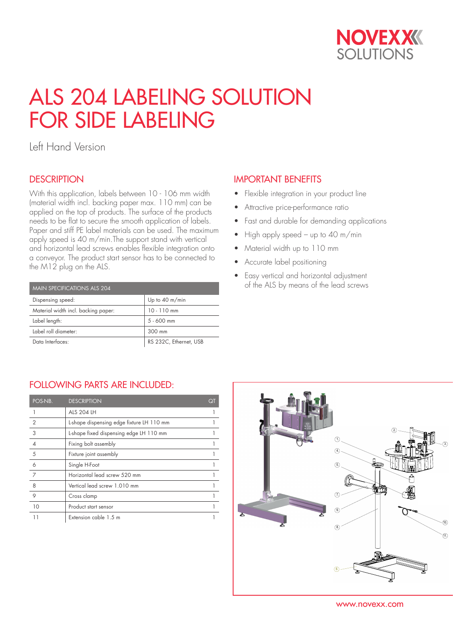

# ALS 204 LABELING SOLUTION FOR SIDE LABELING

Left Hand Version

### **DESCRIPTION**

With this application, labels between 10 - 106 mm width (material width incl. backing paper max. 110 mm) can be applied on the top of products. The surface of the products needs to be flat to secure the smooth application of labels. Paper and stiff PE label materials can be used. The maximum apply speed is 40 m/min.The support stand with vertical and horizontal lead screws enables flexible integration onto a conveyor. The product start sensor has to be connected to the M12 plug on the ALS.

| MAIN SPECIFICATIONS ALS 204         |                          |  |  |  |  |
|-------------------------------------|--------------------------|--|--|--|--|
| Dispensing speed:                   | Up to $40 \text{ m/min}$ |  |  |  |  |
| Material width incl. backing paper: | $10 - 110$ mm            |  |  |  |  |
| Label length:                       | $5 - 600$ mm             |  |  |  |  |
| Label roll diameter:                | 300 mm                   |  |  |  |  |
| Data Interfaces:                    | RS 232C, Ethernet, USB   |  |  |  |  |

## IMPORTANT BENEFITS

- Flexible integration in your product line
- Attractive price-performance ratio
- Fast and durable for demanding applications
- High apply speed up to 40 m/min
- Material width up to 110 mm
- Accurate label positioning
- Easy vertical and horizontal adjustment of the ALS by means of the lead screws

#### FOLLOWING PARTS ARE INCLUDED:

| POS-NB.        | <b>DESCRIPTION</b>                        | Qī |
|----------------|-------------------------------------------|----|
|                | <b>ALS 204 LH</b>                         |    |
| $\overline{2}$ | L-shape dispensing edge fixture LH 110 mm |    |
| 3              | L-shape fixed dispensing edge LH 110 mm   |    |
|                | Fixing bolt assembly                      |    |
| 5              | Fixture joint assembly                    |    |
| 6              | Single H-Foot                             |    |
| 7              | Horizontal lead screw 520 mm              |    |
| 8              | Vertical lead screw 1.010 mm              |    |
| 9              | Cross clamp                               |    |
| 10             | Product start sensor                      |    |
| 11             | Extension cable 1.5 m                     |    |



www.novexx.com